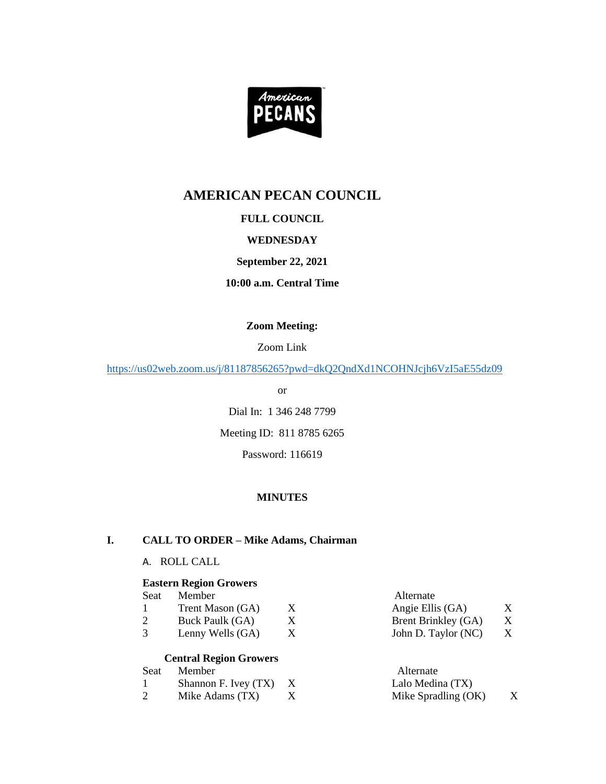

# **AMERICAN PECAN COUNCIL**

# **FULL COUNCIL**

# **WEDNESDAY**

# **September 22, 2021**

# **10:00 a.m. Central Time**

#### **Zoom Meeting:**

#### Zoom Link

<https://us02web.zoom.us/j/81187856265?pwd=dkQ2QndXd1NCOHNJcjh6VzI5aE55dz09>

or

Dial In: 1 346 248 7799 Meeting ID: 811 8785 6265

Password: 116619

# **MINUTES**

# **I. CALL TO ORDER – Mike Adams, Chairman**

#### A. ROLL CALL

#### **Eastern Region Growers**

| Seat | Member           | Alternate           |   |
|------|------------------|---------------------|---|
|      | Trent Mason (GA) | Angie Ellis (GA)    | X |
|      | Buck Paulk (GA)  | Brent Brinkley (GA) | X |
|      | Lenny Wells (GA) | John D. Taylor (NC) | X |

# **Central Region Growers**

| Seat | Member                   |  | Alternate           |   |
|------|--------------------------|--|---------------------|---|
|      | Shannon F. Ivey $(TX)$ X |  | Lalo Medina (TX)    |   |
|      | Mike Adams (TX)          |  | Mike Spradling (OK) | X |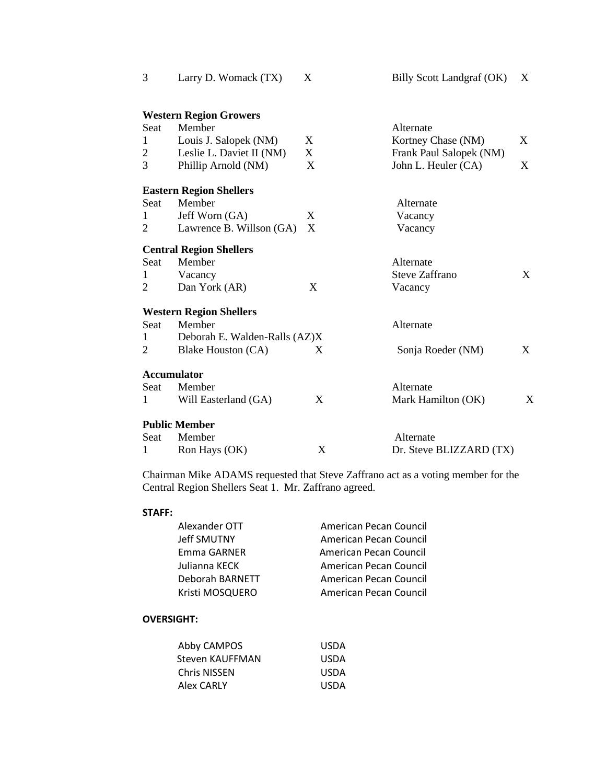| 3              | Larry D. Womack (TX)           | X | Billy Scott Landgraf (OK) | X |
|----------------|--------------------------------|---|---------------------------|---|
|                | <b>Western Region Growers</b>  |   |                           |   |
| Seat           | Member                         |   | Alternate                 |   |
| $\mathbf{1}$   | Louis J. Salopek (NM)          | X | Kortney Chase (NM)        | X |
| $\overline{2}$ | Leslie L. Daviet II (NM)       | X | Frank Paul Salopek (NM)   |   |
| 3              | Phillip Arnold (NM)            | X | John L. Heuler (CA)       | X |
|                | <b>Eastern Region Shellers</b> |   |                           |   |
| Seat           | Member                         |   | Alternate                 |   |
| 1              | Jeff Worn (GA)                 | X | Vacancy                   |   |
| 2              | Lawrence B. Willson (GA)       | X | Vacancy                   |   |
|                | <b>Central Region Shellers</b> |   |                           |   |
| Seat           | Member                         |   | Alternate                 |   |
| 1              | Vacancy                        |   | <b>Steve Zaffrano</b>     | X |
| 2              | Dan York (AR)                  | X | Vacancy                   |   |
|                | <b>Western Region Shellers</b> |   |                           |   |
| Seat           | Member                         |   | Alternate                 |   |
| 1              | Deborah E. Walden-Ralls (AZ)X  |   |                           |   |
| 2              | Blake Houston (CA)             | X | Sonja Roeder (NM)         | X |
|                | <b>Accumulator</b>             |   |                           |   |
| Seat           | Member                         |   | Alternate                 |   |
| 1              | Will Easterland (GA)           | X | Mark Hamilton (OK)        | Х |
|                | <b>Public Member</b>           |   |                           |   |
| Seat           | Member                         |   | Alternate                 |   |
| 1              | Ron Hays (OK)                  | X | Dr. Steve BLIZZARD (TX)   |   |
|                |                                |   |                           |   |

Chairman Mike ADAMS requested that Steve Zaffrano act as a voting member for the Central Region Shellers Seat 1. Mr. Zaffrano agreed.

# **STAFF:**

| Alexander OTT      | American Pecan Council |
|--------------------|------------------------|
| <b>Jeff SMUTNY</b> | American Pecan Council |
| Emma GARNER        | American Pecan Council |
| Julianna KECK      | American Pecan Council |
| Deborah BARNETT    | American Pecan Council |
| Kristi MOSQUERO    | American Pecan Council |

# **OVERSIGHT:**

| Abby CAMPOS         | <b>USDA</b> |
|---------------------|-------------|
| Steven KAUFFMAN     | <b>USDA</b> |
| <b>Chris NISSEN</b> | <b>USDA</b> |
| Alex CARLY          | <b>USDA</b> |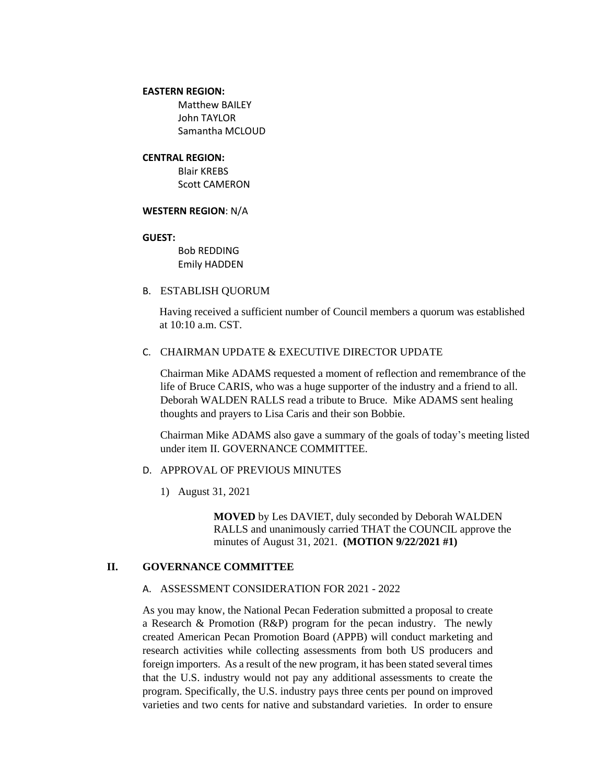#### **EASTERN REGION:**

Matthew BAILEY John TAYLOR Samantha MCLOUD

#### **CENTRAL REGION:**

Blair KREBS Scott CAMERON

#### **WESTERN REGION**: N/A

#### **GUEST:**

Bob REDDING Emily HADDEN

B. ESTABLISH QUORUM

Having received a sufficient number of Council members a quorum was established at 10:10 a.m. CST.

#### C. CHAIRMAN UPDATE & EXECUTIVE DIRECTOR UPDATE

Chairman Mike ADAMS requested a moment of reflection and remembrance of the life of Bruce CARIS, who was a huge supporter of the industry and a friend to all. Deborah WALDEN RALLS read a tribute to Bruce. Mike ADAMS sent healing thoughts and prayers to Lisa Caris and their son Bobbie.

Chairman Mike ADAMS also gave a summary of the goals of today's meeting listed under item II. GOVERNANCE COMMITTEE.

# D. APPROVAL OF PREVIOUS MINUTES

1) August 31, 2021

**MOVED** by Les DAVIET, duly seconded by Deborah WALDEN RALLS and unanimously carried THAT the COUNCIL approve the minutes of August 31, 2021. **(MOTION 9/22/2021 #1)**

#### **II. GOVERNANCE COMMITTEE**

### A. ASSESSMENT CONSIDERATION FOR 2021 - 2022

As you may know, the National Pecan Federation submitted a proposal to create a Research & Promotion (R&P) program for the pecan industry. The newly created American Pecan Promotion Board (APPB) will conduct marketing and research activities while collecting assessments from both US producers and foreign importers. As a result of the new program, it has been stated several times that the U.S. industry would not pay any additional assessments to create the program. Specifically, the U.S. industry pays three cents per pound on improved varieties and two cents for native and substandard varieties. In order to ensure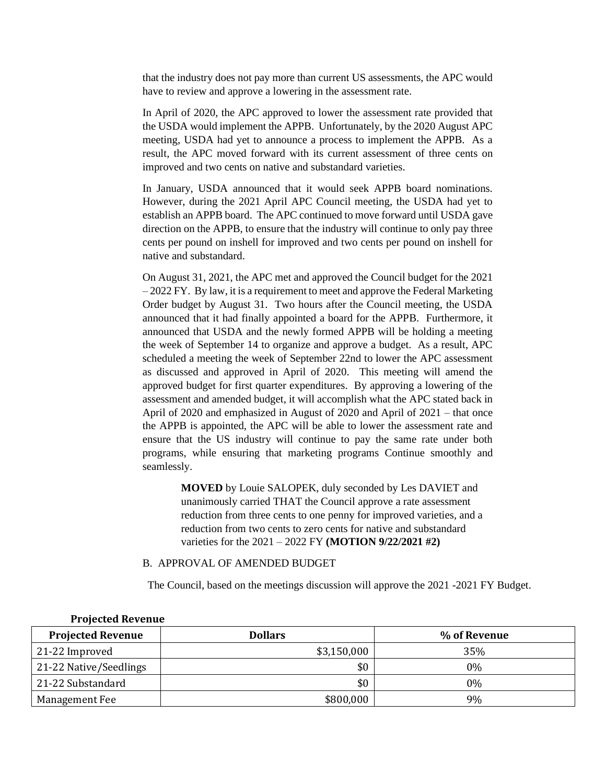that the industry does not pay more than current US assessments, the APC would have to review and approve a lowering in the assessment rate.

In April of 2020, the APC approved to lower the assessment rate provided that the USDA would implement the APPB. Unfortunately, by the 2020 August APC meeting, USDA had yet to announce a process to implement the APPB. As a result, the APC moved forward with its current assessment of three cents on improved and two cents on native and substandard varieties.

In January, USDA announced that it would seek APPB board nominations. However, during the 2021 April APC Council meeting, the USDA had yet to establish an APPB board. The APC continued to move forward until USDA gave direction on the APPB, to ensure that the industry will continue to only pay three cents per pound on inshell for improved and two cents per pound on inshell for native and substandard.

On August 31, 2021, the APC met and approved the Council budget for the 2021  $-2022$  FY. By law, it is a requirement to meet and approve the Federal Marketing Order budget by August 31. Two hours after the Council meeting, the USDA announced that it had finally appointed a board for the APPB. Furthermore, it announced that USDA and the newly formed APPB will be holding a meeting the week of September 14 to organize and approve a budget. As a result, APC scheduled a meeting the week of September 22nd to lower the APC assessment as discussed and approved in April of 2020. This meeting will amend the approved budget for first quarter expenditures. By approving a lowering of the assessment and amended budget, it will accomplish what the APC stated back in April of 2020 and emphasized in August of 2020 and April of 2021 – that once the APPB is appointed, the APC will be able to lower the assessment rate and ensure that the US industry will continue to pay the same rate under both programs, while ensuring that marketing programs Continue smoothly and seamlessly.

> **MOVED** by Louie SALOPEK, duly seconded by Les DAVIET and unanimously carried THAT the Council approve a rate assessment reduction from three cents to one penny for improved varieties, and a reduction from two cents to zero cents for native and substandard varieties for the 2021 – 2022 FY **(MOTION 9/22/2021 #2)**

#### B. APPROVAL OF AMENDED BUDGET

The Council, based on the meetings discussion will approve the 2021 -2021 FY Budget.

| <b>Projected Revenue</b> | <b>Dollars</b> | % of Revenue |
|--------------------------|----------------|--------------|
| 21-22 Improved           | \$3,150,000    | 35%          |
| 21-22 Native/Seedlings   | \$0            | $0\%$        |
| 21-22 Substandard        | \$0            | $0\%$        |
| Management Fee           | \$800,000      | 9%           |

**Projected Revenue**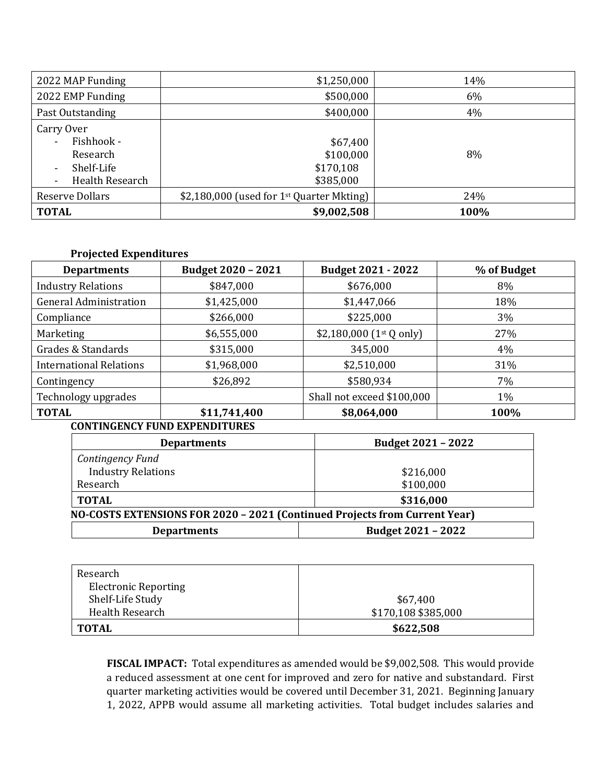| 2022 MAP Funding                                                                                                                                | \$1,250,000                                             | 14%  |
|-------------------------------------------------------------------------------------------------------------------------------------------------|---------------------------------------------------------|------|
| 2022 EMP Funding                                                                                                                                | \$500,000                                               | 6%   |
| Past Outstanding                                                                                                                                | \$400,000                                               | 4%   |
| Carry Over<br>Fishhook -<br>$\blacksquare$<br>Research<br>Shelf-Life<br>$\overline{\phantom{a}}$<br>Health Research<br>$\overline{\phantom{a}}$ | \$67,400<br>\$100,000<br>\$170,108<br>\$385,000         | 8%   |
| <b>Reserve Dollars</b>                                                                                                                          | \$2,180,000 (used for $1$ <sup>st</sup> Quarter Mkting) | 24%  |
| <b>TOTAL</b>                                                                                                                                    | \$9,002,508                                             | 100% |

# **Projected Expenditures**

| <b>Departments</b>             | Budget 2020 - 2021 | <b>Budget 2021 - 2022</b>  | % of Budget |
|--------------------------------|--------------------|----------------------------|-------------|
| <b>Industry Relations</b>      | \$847,000          | \$676,000                  | 8%          |
| <b>General Administration</b>  | \$1,425,000        | \$1,447,066                | 18%         |
| Compliance                     | \$266,000          | \$225,000                  | 3%          |
| Marketing                      | \$6,555,000        | $$2,180,000$ (1st Q only)  | 27%         |
| Grades & Standards             | \$315,000          | 345,000                    | 4%          |
| <b>International Relations</b> | \$1,968,000        | \$2,510,000                | 31%         |
| Contingency                    | \$26,892           | \$580,934                  | 7%          |
| Technology upgrades            |                    | Shall not exceed \$100,000 | 1%          |
| <b>TOTAL</b>                   | \$11,741,400       | \$8,064,000                | 100%        |

# **CONTINGENCY FUND EXPENDITURES**

| <b>Departments</b>                                                         | Budget 2021 - 2022 |  |
|----------------------------------------------------------------------------|--------------------|--|
| Contingency Fund                                                           |                    |  |
| <b>Industry Relations</b>                                                  | \$216,000          |  |
| Research                                                                   | \$100,000          |  |
| <b>TOTAL</b>                                                               | \$316,000          |  |
| NO-COSTS EXTENSIONS FOR 2020 - 2021 (Continued Projects from Current Year) |                    |  |
| <b>Departments</b>                                                         | Budget 2021 - 2022 |  |

| Research                    |                     |
|-----------------------------|---------------------|
| <b>Electronic Reporting</b> |                     |
| Shelf-Life Study            | \$67,400            |
| Health Research             | \$170,108 \$385,000 |
| <b>TOTAL</b>                | \$622,508           |

**FISCAL IMPACT:** Total expenditures as amended would be \$9,002,508. This would provide a reduced assessment at one cent for improved and zero for native and substandard. First quarter marketing activities would be covered until December 31, 2021. Beginning January 1, 2022, APPB would assume all marketing activities. Total budget includes salaries and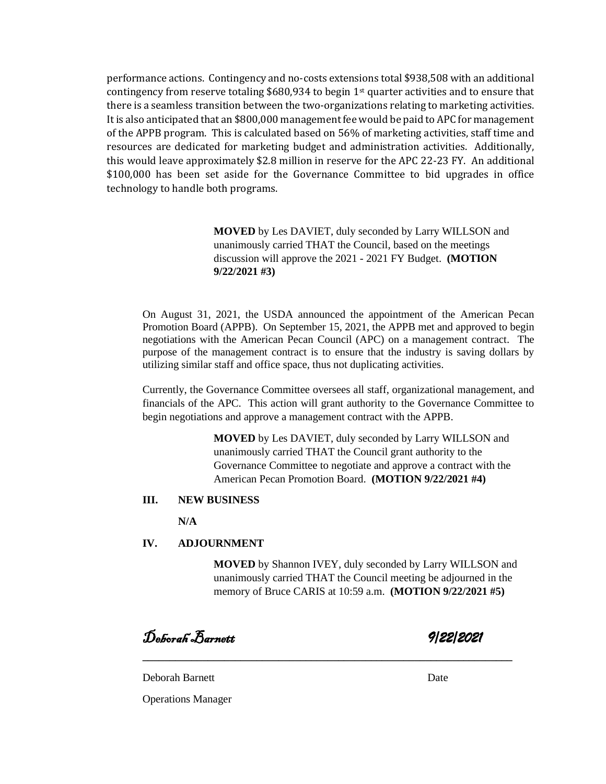performance actions. Contingency and no-costs extensions total \$938,508 with an additional contingency from reserve totaling \$680,934 to begin 1<sup>st</sup> quarter activities and to ensure that there is a seamless transition between the two-organizations relating to marketing activities. It is also anticipated that an \$800,000 management fee would be paid to APC for management of the APPB program. This is calculated based on 56% of marketing activities, staff time and resources are dedicated for marketing budget and administration activities. Additionally, this would leave approximately \$2.8 million in reserve for the APC 22-23 FY. An additional \$100,000 has been set aside for the Governance Committee to bid upgrades in office technology to handle both programs.

> **MOVED** by Les DAVIET, duly seconded by Larry WILLSON and unanimously carried THAT the Council, based on the meetings discussion will approve the 2021 - 2021 FY Budget. **(MOTION 9/22/2021 #3)**

On August 31, 2021, the USDA announced the appointment of the American Pecan Promotion Board (APPB). On September 15, 2021, the APPB met and approved to begin negotiations with the American Pecan Council (APC) on a management contract. The purpose of the management contract is to ensure that the industry is saving dollars by utilizing similar staff and office space, thus not duplicating activities.

Currently, the Governance Committee oversees all staff, organizational management, and financials of the APC. This action will grant authority to the Governance Committee to begin negotiations and approve a management contract with the APPB.

> **MOVED** by Les DAVIET, duly seconded by Larry WILLSON and unanimously carried THAT the Council grant authority to the Governance Committee to negotiate and approve a contract with the American Pecan Promotion Board. **(MOTION 9/22/2021 #4)**

#### **III. NEW BUSINESS**

**N/A**

# **IV. ADJOURNMENT**

**MOVED** by Shannon IVEY, duly seconded by Larry WILLSON and unanimously carried THAT the Council meeting be adjourned in the memory of Bruce CARIS at 10:59 a.m. **(MOTION 9/22/2021 #5)**

**\_\_\_\_\_\_\_\_\_\_\_\_\_\_\_\_\_\_\_\_\_\_\_\_\_\_\_\_\_\_\_\_\_\_\_\_\_\_\_\_\_\_\_\_\_\_\_\_\_\_\_\_\_\_\_\_\_\_\_\_\_\_\_\_\_\_\_\_**

Deborah Barnett *9/22/2021* 

Deborah Barnett Date

Operations Manager